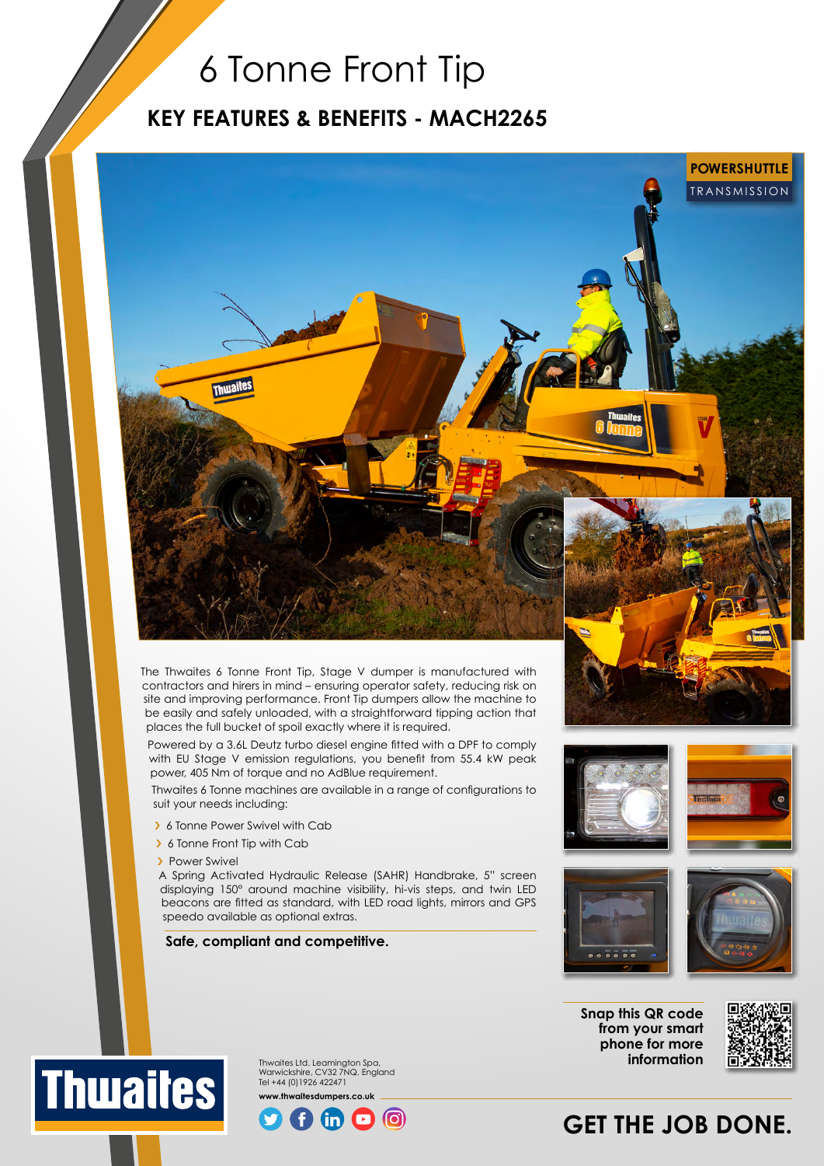## 6 Tonne Front Tip

### **KEY FEATURES & BENEFITS - MACH2265**



The Thwaites 6 Tonne Front Tip, Stage V dumper is manufactured with contractors and hirers in mind – ensuring operator safety, reducing risk on site and improving performance. Front Tip dumpers allow the machine to be easily and safely unloaded, with a straightforward tipping action that places the full bucket of spoil exactly where it is required.

Powered by a 3.6L Deutz turbo diesel engine fitted with a DPF to comply with EU Stage V emission regulations, you benefit from 55.4 kW peak power, 405 Nm of torque and no AdBlue requirement.

Thwaites 6 Tonne machines are available in a range of configurations to suit your needs including:

- > 6 Tonne Power Swivel with Cab
- > 6 Tonne Front Tip with Cab
- > Power Swivel

**Thwaites** 

A Spring Activated Hydraulic Release (SAHR) Handbrake, 5" screen displaying 150° around machine visibility, hi-vis steps, and twin LED beacons are fitted as standard, with LED road lights, mirrors and GPS speedo available as optional extras.

#### **Safe, compliant and competitive.**





**Snap this QR code from your smart phone for more information**



## $\odot$

Thwaites Ltd. Leamington Spa, Warwickshire, CV32 7NQ. England Tel +44 (0)1926 422471 **www.thwaitesdumpers.co.uk**

## **GET THE JOB DONE.**